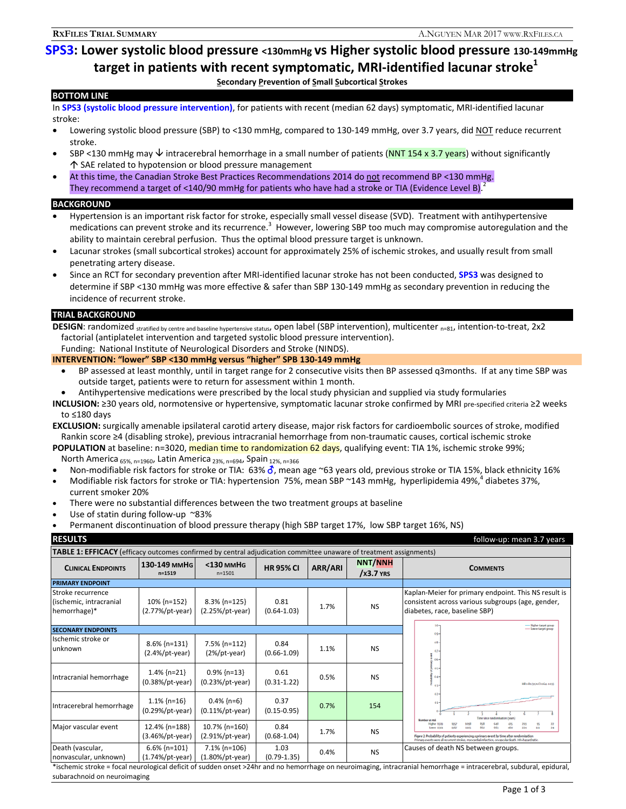# **SPS3: Lower systolic blood pressure <130mmHg vs Higher systolic blood pressure 130-149mmHg** target in patients with recent symptomatic, MRI-identified lacunar stroke<sup>1</sup> **Secondary Prevention of Small Subcortical Strokes**

### **BOTTOM LINE**

In **SPS3 (systolic blood pressure intervention)**, for patients with recent (median 62 days) symptomatic, MRI-identified lacunar stroke:

- Lowering systolic blood pressure (SBP) to <130 mmHg, compared to 130-149 mmHg, over 3.7 years, did NOT reduce recurrent stroke.
- SBP <130 mmHg may  $\psi$  intracerebral hemorrhage in a small number of patients (NNT 154 x 3.7 years) without significantly SAE related to hypotension or blood pressure management
- At this time, the Canadian Stroke Best Practices Recommendations 2014 do not recommend BP <130 mmHg. They recommend a target of <140/90 mmHg for patients who have had a stroke or TIA (Evidence Level B).<sup>2</sup>

### **BACKGROUND**

- Hypertension is an important risk factor for stroke, especially small vessel disease (SVD). Treatment with antihypertensive medications can prevent stroke and its recurrence.<sup>3</sup> However, lowering SBP too much may compromise autoregulation and the ability to maintain cerebral perfusion. Thus the optimal blood pressure target is unknown.
- Lacunar strokes (small subcortical strokes) account for approximately 25% of ischemic strokes, and usually result from small penetrating artery disease.
- Since an RCT for secondary prevention after MRI-identified lacunar stroke has not been conducted, **SPS3** was designed to determine if SBP <130 mmHg was more effective & safer than SBP 130-149 mmHg as secondary prevention in reducing the incidence of recurrent stroke.

### **TRIAL BACKGROUND**

DESIGN: randomized stratified by centre and baseline hypertensive status, open label (SBP intervention), multicenter <sub>n=81</sub>, intention-to-treat, 2x2 factorial (antiplatelet intervention and targeted systolic blood pressure intervention).

### Funding: National Institute of Neurological Disorders and Stroke (NINDS). **INTERVENTION: "lower" SBP <130 mmHg versus "higher" SPB 130-149 mmHg**

- BP assessed at least monthly, until in target range for 2 consecutive visits then BP assessed q3months. If at any time SBP was outside target, patients were to return for assessment within 1 month.
- Antihypertensive medications were prescribed by the local study physician and supplied via study formularies
- **INCLUSION:** ≥30 years old, normotensive or hypertensive, symptomatic lacunar stroke confirmed by MRI pre-specified criteria ≥2 weeks to ≤180 days

**EXCLUSION:** surgically amenable ipsilateral carotid artery disease, major risk factors for cardioembolic sources of stroke, modified Rankin score ≥4 (disabling stroke), previous intracranial hemorrhage from non-traumatic causes, cortical ischemic stroke

**POPULATION** at baseline: n=3020, **median time to randomization 62 days**, qualifying event: TIA 1%, ischemic stroke 99%; North America <sub>65%, n=1960</sub>, Latin America <sub>23%, n=694</sub>, Spain <sub>12%, n=366</sub>

- Non-modifiable risk factors for stroke or TIA: 63%  $\delta$ , mean age ~63 years old, previous stroke or TIA 15%, black ethnicity 16%
- Modifiable risk factors for stroke or TIA: hypertension 75%, mean SBP ~143 mmHg, hyperlipidemia 49%, diabetes 37%,
- current smoker 20% There were no substantial differences between the two treatment groups at baseline
- Use of statin during follow-up ~83%
- Permanent discontinuation of blood pressure therapy (high SBP target 17%, low SBP target 16%, NS)

**RESULTS follow-up:** mean 3.7 years **follow-up:** mean 3.7 years **TABLE 1: EFFICACY** (efficacy outcomes confirmed by central adjudication committee unaware of treatment assignments) **HR 95% CI** ARR/ARI **NNT/NNH**<br>/x3.7 YRS **CLINICAL ENDPOINTS 130-149 MMHG <130 MMHG /X3.7 YRS COMMENTS n=1519 PRIMARY ENDPOINT**  Stroke recurrence Kaplan-Meier for primary endpoint. This NS result is 0.81 consistent across various subgroups (age, gender, (ischemic, intracranial 10% {n=152} 8.3% {n=125}  $(0.64-1.03)$  1.7% NS hemorrhage)\* (2.77%/pt-year) (2.25%/pt-year) diabetes, race, baseline SBP) - Higher target group<br>- Lower target group **SECONARY ENDPOINTS**  Ischemic stroke or 68  $\frac{1}{2}$ unknown 8.6% {n=131} 7.5% {n=112} 0.84  $(0.66-1.09)$  1.1% NS (2.4%/pt-year) (2%/pt-year) 1.4% {n=21} 0.9% {n=13} 0.61 Intracranial hemorrhage  $(0.31-1.22)$  0.5% NS (0.38%/pt-year) (0.23%/pt-year) Intracerebral hemorrhage  $\begin{bmatrix} 1.1\% & \{n=16\} \end{bmatrix}$ 0.4% {n=6} 0.37  $(0.15-0.95)$  0.7% 154 (0.29%/pt-year) (0.11%/pt-year) Higher<br>Lower 858<br>862 Major vascular event | 12.4% {n=188}  $\frac{1357}{1367}$ 5098<br>1105 648<br>643  $rac{475}{460}$ 219  $rac{22}{34}$ 10.7% {n=160} 0.84  $(0.68-1.04)$  1.7% NS (3.46%/pt-year) (2.91%/pt-year) 6.6% {n=101} 7.1% {n=106} 1.03 Death (vascular, 1.03 0.4% NS Causes of death NS between groups.<br>
0.79-1.35) 0.4% NS nonvascular, unknown) (1.74%/pt-year) (1.80%/pt-year)

\*ischemic stroke = focal neurological deficit of sudden onset >24hr and no hemorrhage on neuroimaging, intracranial hemorrhage = intracerebral, subdural, epidural, subarachnoid on neuroimaging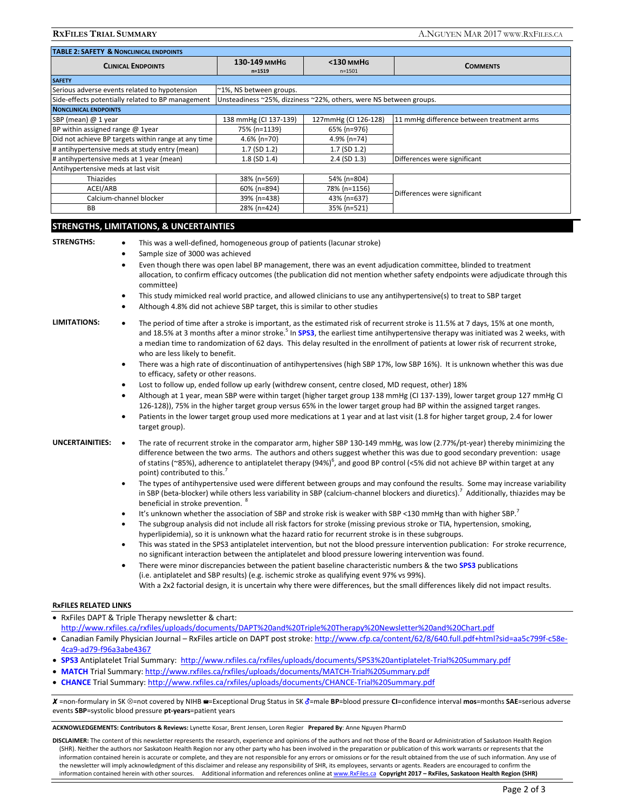**RXFILES TRIAL SUMMARY** A.NGUYEN MAR 2017 WWW.RXFILES.CA

| <b>TABLE 2: SAFETY &amp; NONCLINICAL ENDPOINTS</b>  |                                                                    |                         |                                           |
|-----------------------------------------------------|--------------------------------------------------------------------|-------------------------|-------------------------------------------|
| <b>CLINICAL ENDPOINTS</b>                           | 130-149 MMHG<br>$n = 1519$                                         | <130 mmHG<br>$n = 1501$ | <b>COMMENTS</b>                           |
| <b>SAFETY</b>                                       |                                                                    |                         |                                           |
| Serious adverse events related to hypotension       | ~1%, NS between groups.                                            |                         |                                           |
| Side-effects potentially related to BP management   | Unsteadiness ~25%, dizziness ~22%, others, were NS between groups. |                         |                                           |
| <b>NONCLINICAL ENDPOINTS</b>                        |                                                                    |                         |                                           |
| SBP (mean) @ 1 year                                 | 138 mmHg (CI 137-139)                                              | 127mmHg (CI 126-128)    | 11 mmHg difference between treatment arms |
| BP within assigned range @ 1year                    | 75% {n=1139}                                                       | 65% {n=976}             |                                           |
| Did not achieve BP targets within range at any time | 4.6% $\{n=70\}$                                                    | 4.9% $\{n=74\}$         |                                           |
| # antihypertensive meds at study entry (mean)       | $1.7$ (SD $1.2$ )                                                  | $1.7$ (SD $1.2$ )       |                                           |
| # antihypertensive meds at 1 year (mean)            | $1.8$ (SD $1.4$ )                                                  | $2.4$ (SD $1.3$ )       | Differences were significant              |
| Antihypertensive meds at last visit                 |                                                                    |                         |                                           |
| Thiazides                                           | 38% {n=569}                                                        | 54% {n=804}             | Differences were significant              |
| ACEI/ARB                                            | 60% {n=894}                                                        | 78% {n=1156}            |                                           |
| Calcium-channel blocker                             | 39% {n=438}                                                        | 43% {n=637}             |                                           |
| <b>BB</b>                                           | 28% {n=424}                                                        | 35% {n=521}             |                                           |

### **STRENGTHS, LIMITATIONS, & UNCERTAINTIES**

- **STRENGTHS:** This was a well-defined, homogeneous group of patients (lacunar stroke)
	- Sample size of 3000 was achieved
	- Even though there was open label BP management, there was an event adjudication committee, blinded to treatment allocation, to confirm efficacy outcomes (the publication did not mention whether safety endpoints were adjudicate through this committee)
	- This study mimicked real world practice, and allowed clinicians to use any antihypertensive(s) to treat to SBP target
	- Although 4.8% did not achieve SBP target, this is similar to other studies

- **LIMITATIONS:**  The period of time after a stroke is important, as the estimated risk of recurrent stroke is 11.5% at 7 days, 15% at one month, and 18.5% at 3 months after a minor stroke.<sup>5</sup> In SPS3, the earliest time antihypertensive therapy was initiated was 2 weeks, with a median time to randomization of 62 days. This delay resulted in the enrollment of patients at lower risk of recurrent stroke, who are less likely to benefit.
	- There was a high rate of discontinuation of antihypertensives (high SBP 17%, low SBP 16%). It is unknown whether this was due to efficacy, safety or other reasons.
	- Lost to follow up, ended follow up early (withdrew consent, centre closed, MD request, other) 18%
	- Although at 1 year, mean SBP were within target (higher target group 138 mmHg (CI 137-139), lower target group 127 mmHg CI 126-128)), 75% in the higher target group versus 65% in the lower target group had BP within the assigned target ranges.
	- Patients in the lower target group used more medications at 1 year and at last visit (1.8 for higher target group, 2.4 for lower target group).

- UNCERTAINITIES: . The rate of recurrent stroke in the comparator arm, higher SBP 130-149 mmHg, was low (2.77%/pt-year) thereby minimizing the difference between the two arms. The authors and others suggest whether this was due to good secondary prevention: usage of statins (~85%), adherence to antiplatelet therapy (94%)<sup>6</sup>, and good BP control (<5% did not achieve BP within target at any point) contributed to this.
	- The types of antihypertensive used were different between groups and may confound the results. Some may increase variability in SBP (beta-blocker) while others less variability in SBP (calcium-channel blockers and diuretics).<sup>7</sup> Additionally, thiazides may be beneficial in stroke prevention. <sup>8</sup>
	- It's unknown whether the association of SBP and stroke risk is weaker with SBP <130 mmHg than with higher SBP.<sup>7</sup>
	- The subgroup analysis did not include all risk factors for stroke (missing previous stroke or TIA, hypertension, smoking, hyperlipidemia), so it is unknown what the hazard ratio for recurrent stroke is in these subgroups.
	- This was stated in the SPS3 antiplatelet intervention, but not the blood pressure intervention publication: For stroke recurrence, no significant interaction between the antiplatelet and blood pressure lowering intervention was found.
	- There were minor discrepancies between the patient baseline characteristic numbers & the two **SPS3** publications (i.e. antiplatelet and SBP results) (e.g. ischemic stroke as qualifying event 97% vs 99%). With a 2x2 factorial design, it is uncertain why there were differences, but the small differences likely did not impact results.

### **RxFILES RELATED LINKS**

- RxFiles DAPT & Triple Therapy newsletter & chart: http://www.rxfiles.ca/rxfiles/uploads/documents/DAPT%20and%20Triple%20Therapy%20Newsletter%20and%20Chart.pdf
- Canadian Family Physician Journal RxFiles article on DAPT post stroke: http://www.cfp.ca/content/62/8/640.full.pdf+html?sid=aa5c799f-c58e-4ca9-ad79-f96a3abe4367
- **SPS3** Antiplatelet Trial Summary: http://www.rxfiles.ca/rxfiles/uploads/documents/SPS3%20antiplatelet-Trial%20Summary.pdf
- **MATCH** Trial Summary: http://www.rxfiles.ca/rxfiles/uploads/documents/MATCH-Trial%20Summary.pdf
- **CHANCE** Trial Summary: http://www.rxfiles.ca/rxfiles/uploads/documents/CHANCE-Trial%20Summary.pdf

X =non-formulary in SK ⊗=not covered by NIHB <sup>a</sup>=Exceptional Drug Status in SK  $\delta$ =male BP=blood pressure CI=confidence interval mos=months SAE=serious adverse events **SBP**=systolic blood pressure **pt-years**=patient years

**ACKNOWLEDGEMENTS: Contributors & Reviews:** Lynette Kosar, Brent Jensen, Loren Regier **Prepared By**: Anne Nguyen PharmD

**DISCLAIMER:** The content of this newsletter represents the research, experience and opinions of the authors and not those of the Board or Administration of Saskatoon Health Region (SHR). Neither the authors nor Saskatoon Health Region nor any other party who has been involved in the preparation or publication of this work warrants or represents that the information contained herein is accurate or complete, and they are not responsible for any errors or omissions or for the result obtained from the use of such information. Any use of the newsletter will imply acknowledgment of this disclaimer and release any responsibility of SHR, its employees, servants or agents. Readers are encouraged to confirm the information contained herein with other sources. Additional information and references online at www.RxFiles.ca Copyright 2017 - RxFiles, Saskatoon Health Region (SHR)